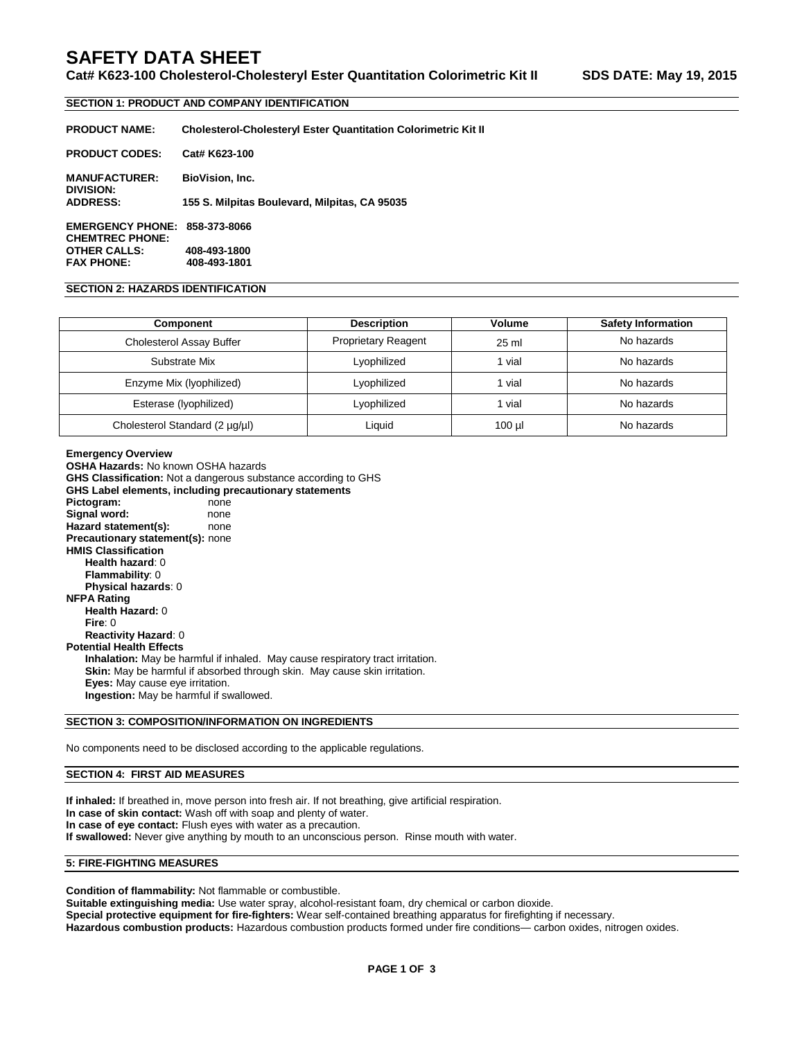# **SAFETY DATA SHEET**

## **Cat# K623-100 Cholesterol-Cholesteryl Ester Quantitation Colorimetric Kit II SDS DATE: May 19, 2015**

### **SECTION 1: PRODUCT AND COMPANY IDENTIFICATION**

| <b>PRODUCT NAME:</b>                                           | <b>Cholesterol-Cholesteryl Ester Quantitation Colorimetric Kit II</b> |
|----------------------------------------------------------------|-----------------------------------------------------------------------|
| <b>PRODUCT CODES:</b>                                          | Cat# K623-100                                                         |
| <b>MANUFACTURER:</b><br>DIVISION:                              | <b>BioVision, Inc.</b>                                                |
| <b>ADDRESS:</b>                                                | 155 S. Milpitas Boulevard, Milpitas, CA 95035                         |
| <b>EMERGENCY PHONE: 858-373-8066</b><br><b>CHEMTREC PHONE:</b> |                                                                       |
| <b>OTHER CALLS:</b>                                            | 408-493-1800                                                          |

**FAX PHONE: 408-493-1801**

## **SECTION 2: HAZARDS IDENTIFICATION**

| <b>Component</b>                | <b>Description</b>         | Volume   | <b>Safety Information</b> |
|---------------------------------|----------------------------|----------|---------------------------|
| <b>Cholesterol Assay Buffer</b> | <b>Proprietary Reagent</b> | 25 ml    | No hazards                |
| Substrate Mix                   | Lyophilized                | 1 vial   | No hazards                |
| Enzyme Mix (Iyophilized)        | Lyophilized                | 1 vial   | No hazards                |
| Esterase (lyophilized)          | Lyophilized                | 1 vial   | No hazards                |
| Cholesterol Standard (2 µg/µl)  | Liauid                     | $100$ µl | No hazards                |

**Emergency Overview OSHA Hazards:** No known OSHA hazards **GHS Classification:** Not a dangerous substance according to GHS **GHS Label elements, including precautionary statements Pictogram:** none **Signal word:** none<br> **Hazard statement(s):** none **Hazard statement(s): Precautionary statement(s):** none **HMIS Classification Health hazard**: 0 **Flammability**: 0 **Physical hazards**: 0 **NFPA Rating Health Hazard:** 0 **Fire**: 0 **Reactivity Hazard**: 0 **Potential Health Effects Inhalation:** May be harmful if inhaled. May cause respiratory tract irritation. **Skin:** May be harmful if absorbed through skin. May cause skin irritation. **Eyes:** May cause eye irritation. **Ingestion:** May be harmful if swallowed.

## **SECTION 3: COMPOSITION/INFORMATION ON INGREDIENTS**

No components need to be disclosed according to the applicable regulations.

### **SECTION 4: FIRST AID MEASURES**

**If inhaled:** If breathed in, move person into fresh air. If not breathing, give artificial respiration. **In case of skin contact:** Wash off with soap and plenty of water. **In case of eye contact:** Flush eyes with water as a precaution. **If swallowed:** Never give anything by mouth to an unconscious person. Rinse mouth with water.

#### **5: FIRE-FIGHTING MEASURES**

**Condition of flammability:** Not flammable or combustible.

**Suitable extinguishing media:** Use water spray, alcohol-resistant foam, dry chemical or carbon dioxide.

**Special protective equipment for fire-fighters:** Wear self-contained breathing apparatus for firefighting if necessary. **Hazardous combustion products:** Hazardous combustion products formed under fire conditions— carbon oxides, nitrogen oxides.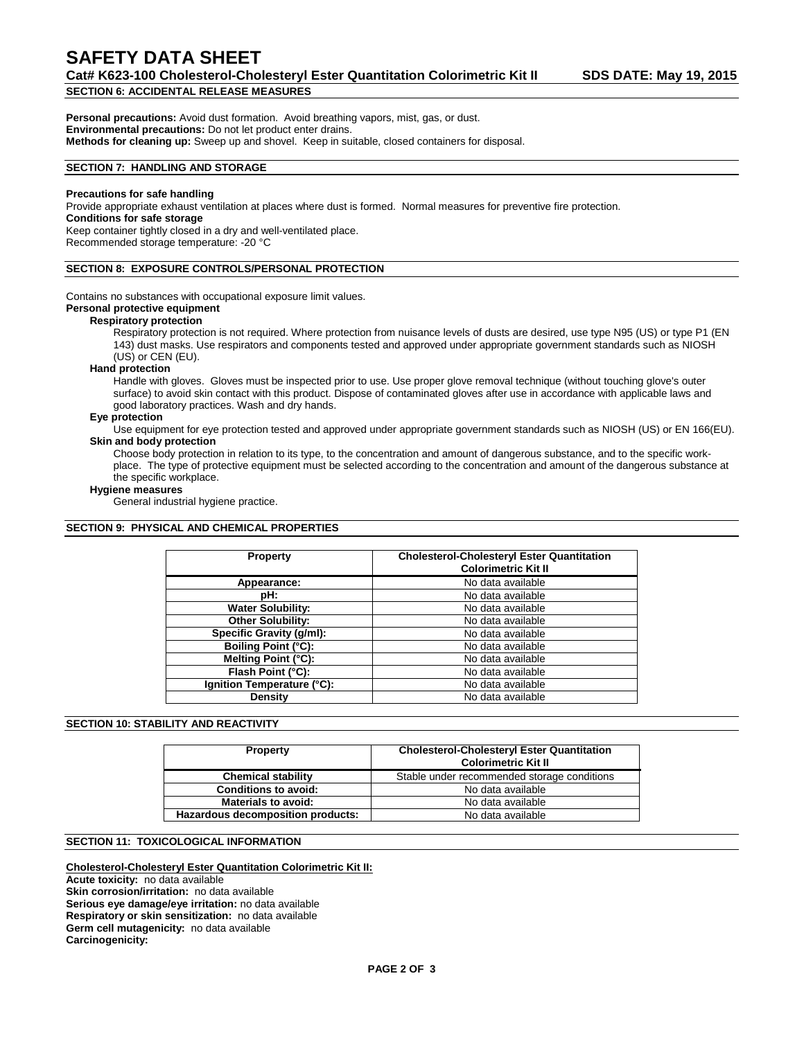## **SAFETY DATA SHEET**

**Cat# K623-100 Cholesterol-Cholesteryl Ester Quantitation Colorimetric Kit II SDS DATE: May 19, 2015 SECTION 6: ACCIDENTAL RELEASE MEASURES**

**Personal precautions:** Avoid dust formation. Avoid breathing vapors, mist, gas, or dust. **Environmental precautions:** Do not let product enter drains. **Methods for cleaning up:** Sweep up and shovel. Keep in suitable, closed containers for disposal.

## **SECTION 7: HANDLING AND STORAGE**

#### **Precautions for safe handling**

Provide appropriate exhaust ventilation at places where dust is formed. Normal measures for preventive fire protection.

#### **Conditions for safe storage**

Keep container tightly closed in a dry and well-ventilated place. Recommended storage temperature: -20 °C

#### **SECTION 8: EXPOSURE CONTROLS/PERSONAL PROTECTION**

Contains no substances with occupational exposure limit values.

#### **Personal protective equipment**

#### **Respiratory protection**

Respiratory protection is not required. Where protection from nuisance levels of dusts are desired, use type N95 (US) or type P1 (EN 143) dust masks. Use respirators and components tested and approved under appropriate government standards such as NIOSH (US) or CEN (EU).

#### **Hand protection**

Handle with gloves. Gloves must be inspected prior to use. Use proper glove removal technique (without touching glove's outer surface) to avoid skin contact with this product. Dispose of contaminated gloves after use in accordance with applicable laws and good laboratory practices. Wash and dry hands.

#### **Eye protection**

Use equipment for eye protection tested and approved under appropriate government standards such as NIOSH (US) or EN 166(EU). **Skin and body protection**

Choose body protection in relation to its type, to the concentration and amount of dangerous substance, and to the specific workplace. The type of protective equipment must be selected according to the concentration and amount of the dangerous substance at the specific workplace.

#### **Hygiene measures**

General industrial hygiene practice.

## **SECTION 9: PHYSICAL AND CHEMICAL PROPERTIES**

| <b>Property</b>            | <b>Cholesterol-Cholesteryl Ester Quantitation</b><br><b>Colorimetric Kit II</b> |
|----------------------------|---------------------------------------------------------------------------------|
| Appearance:                | No data available                                                               |
| pH:                        | No data available                                                               |
| <b>Water Solubility:</b>   | No data available                                                               |
| <b>Other Solubility:</b>   | No data available                                                               |
| Specific Gravity (g/ml):   | No data available                                                               |
| Boiling Point (°C):        | No data available                                                               |
| Melting Point (°C):        | No data available                                                               |
| Flash Point (°C):          | No data available                                                               |
| Ignition Temperature (°C): | No data available                                                               |
| Density                    | No data available                                                               |

#### **SECTION 10: STABILITY AND REACTIVITY**

| <b>Property</b>                   | <b>Cholesterol-Cholesteryl Ester Quantitation</b><br><b>Colorimetric Kit II</b> |
|-----------------------------------|---------------------------------------------------------------------------------|
| <b>Chemical stability</b>         | Stable under recommended storage conditions                                     |
| <b>Conditions to avoid:</b>       | No data available                                                               |
| <b>Materials to avoid:</b>        | No data available                                                               |
| Hazardous decomposition products: | No data available                                                               |

#### **SECTION 11: TOXICOLOGICAL INFORMATION**

## **Cholesterol-Cholesteryl Ester Quantitation Colorimetric Kit II:**

**Acute toxicity:** no data available **Skin corrosion/irritation:** no data available **Serious eye damage/eye irritation:** no data available **Respiratory or skin sensitization:** no data available **Germ cell mutagenicity:** no data available **Carcinogenicity:**